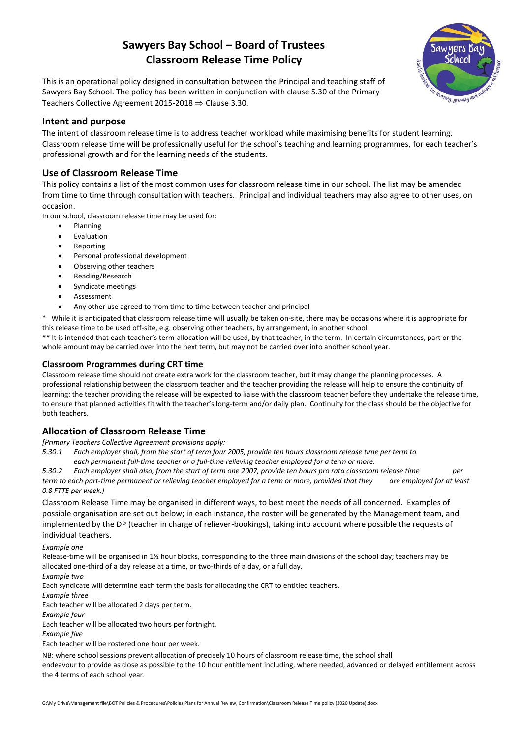# **Sawyers Bay School – Board of Trustees Classroom Release Time Policy**



This is an operational policy designed in consultation between the Principal and teaching staff of Sawyers Bay School. The policy has been written in conjunction with clause 5.30 of the Primary Teachers Collective Agreement 2015-2018  $\Rightarrow$  Clause 3.30.

## **Intent and purpose**

The intent of classroom release time is to address teacher workload while maximising benefits for student learning. Classroom release time will be professionally useful for the school's teaching and learning programmes, for each teacher's professional growth and for the learning needs of the students.

# **Use of Classroom Release Time**

This policy contains a list of the most common uses for classroom release time in our school. The list may be amended from time to time through consultation with teachers. Principal and individual teachers may also agree to other uses, on occasion.

In our school, classroom release time may be used for:

- Planning
- Evaluation
- Reporting
- Personal professional development
- Observing other teachers
- Reading/Research
- Syndicate meetings
- Assessment
- Any other use agreed to from time to time between teacher and principal

\* While it is anticipated that classroom release time will usually be taken on-site, there may be occasions where it is appropriate for this release time to be used off-site, e.g. observing other teachers, by arrangement, in another school

\*\* It is intended that each teacher's term-allocation will be used, by that teacher, in the term. In certain circumstances, part or the whole amount may be carried over into the next term, but may not be carried over into another school year.

#### **Classroom Programmes during CRT time**

Classroom release time should not create extra work for the classroom teacher, but it may change the planning processes. A professional relationship between the classroom teacher and the teacher providing the release will help to ensure the continuity of learning: the teacher providing the release will be expected to liaise with the classroom teacher before they undertake the release time, to ensure that planned activities fit with the teacher's long-term and/or daily plan. Continuity for the class should be the objective for both teachers.

#### **Allocation of Classroom Release Time**

*[Primary Teachers Collective Agreement provisions apply:*

*5.30.1 Each employer shall, from the start of term four 2005, provide ten hours classroom release time per term to each permanent full-time teacher or a full-time relieving teacher employed for a term or more.*

*5.30.2 Each employer shall also, from the start of term one 2007, provide ten hours pro rata classroom release time per term to each part-time permanent or relieving teacher employed for a term or more, provided that they are employed for at least 0.8 FTTE per week.]*

Classroom Release Time may be organised in different ways, to best meet the needs of all concerned. Examples of possible organisation are set out below; in each instance, the roster will be generated by the Management team, and implemented by the DP (teacher in charge of reliever-bookings), taking into account where possible the requests of individual teachers.

*Example one*

Release-time will be organised in 1½ hour blocks, corresponding to the three main divisions of the school day; teachers may be allocated one-third of a day release at a time, or two-thirds of a day, or a full day.

*Example two*

Each syndicate will determine each term the basis for allocating the CRT to entitled teachers.

*Example three*

Each teacher will be allocated 2 days per term.

*Example four*

Each teacher will be allocated two hours per fortnight.

*Example five*

Each teacher will be rostered one hour per week.

NB: where school sessions prevent allocation of precisely 10 hours of classroom release time, the school shall endeavour to provide as close as possible to the 10 hour entitlement including, where needed, advanced or delayed entitlement across the 4 terms of each school year.